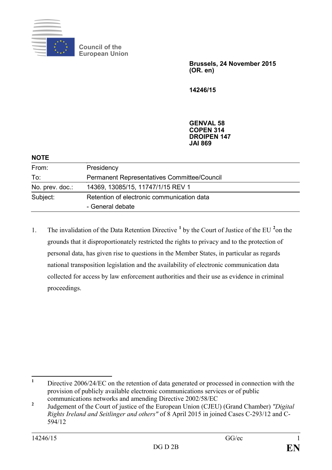

**Council of the European Union**

> **Brussels, 24 November 2015 (OR. en)**

**14246/15**

**GENVAL 58 COPEN 314 DROIPEN 147 JAI 869**

| Presidency                                                     |
|----------------------------------------------------------------|
| Permanent Representatives Committee/Council                    |
| 14369, 13085/15, 11747/1/15 REV 1                              |
| Retention of electronic communication data<br>- General debate |
|                                                                |

[1](#page-0-0). The invalidation of the Data Retention Directive <sup>1</sup> by the Court of Justice of the EU <sup>[2](#page-0-1)</sup> on the grounds that it disproportionately restricted the rights to privacy and to the protection of personal data, has given rise to questions in the Member States, in particular as regards national transposition legislation and the availability of electronic communication data collected for access by law enforcement authorities and their use as evidence in criminal proceedings.

<span id="page-0-0"></span><sup>&</sup>lt;sup>1</sup> Directive 2006/24/EC on the retention of data generated or processed in connection with the provision of publicly available electronic communications services or of public communications networks and amending Directive 2002/58/EC

<span id="page-0-1"></span>**<sup>2</sup>** Judgement of the Court of justice of the European Union (CJEU) (Grand Chamber) *"Digital Rights Ireland and Seitlinger and others"* of 8 April 2015 in joined Cases C-293/12 and C-594/12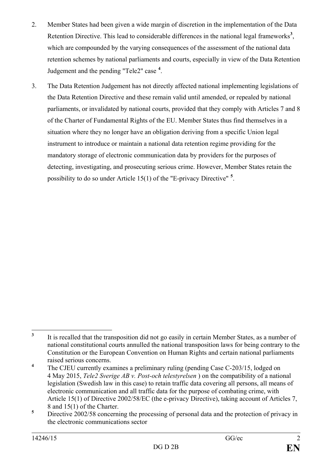- 2. Member States had been given a wide margin of discretion in the implementation of the Data Retention Directive. This lead to considerable differences in the national legal frameworks<sup>[3](#page-1-0)</sup>, which are compounded by the varying consequences of the assessment of the national data retention schemes by national parliaments and courts, especially in view of the Data Retention Judgement and the pending "Tele2" case **[4](#page-1-1)** .
- 3. The Data Retention Judgement has not directly affected national implementing legislations of the Data Retention Directive and these remain valid until amended, or repealed by national parliaments, or invalidated by national courts, provided that they comply with Articles 7 and 8 of the Charter of Fundamental Rights of the EU. Member States thus find themselves in a situation where they no longer have an obligation deriving from a specific Union legal instrument to introduce or maintain a national data retention regime providing for the mandatory storage of electronic communication data by providers for the purposes of detecting, investigating, and prosecuting serious crime. However, Member States retain the possibility to do so under Article 15(1) of the "E-privacy Directive" **[5](#page-1-2)** .

<span id="page-1-0"></span><sup>&</sup>lt;sup>3</sup> It is recalled that the transposition did not go easily in certain Member States, as a number of national constitutional courts annulled the national transposition laws for being contrary to the Constitution or the European Convention on Human Rights and certain national parliaments raised serious concerns.

<span id="page-1-1"></span><sup>&</sup>lt;sup>4</sup> The CJEU currently examines a preliminary ruling (pending Case C-203/15, lodged on 4 May 2015, *Tele2 Sverige AB v. Post-och telestyrelsen* ) on the compatibility of a national legislation (Swedish law in this case) to retain traffic data covering all persons, all means of electronic communication and all traffic data for the purpose of combating crime, with Article 15(1) of Directive 2002/58/EC (the e-privacy Directive), taking account of Articles 7, 8 and 15(1) of the Charter.

<span id="page-1-2"></span><sup>&</sup>lt;sup>5</sup> Directive 2002/58 concerning the processing of personal data and the protection of privacy in the electronic communications sector